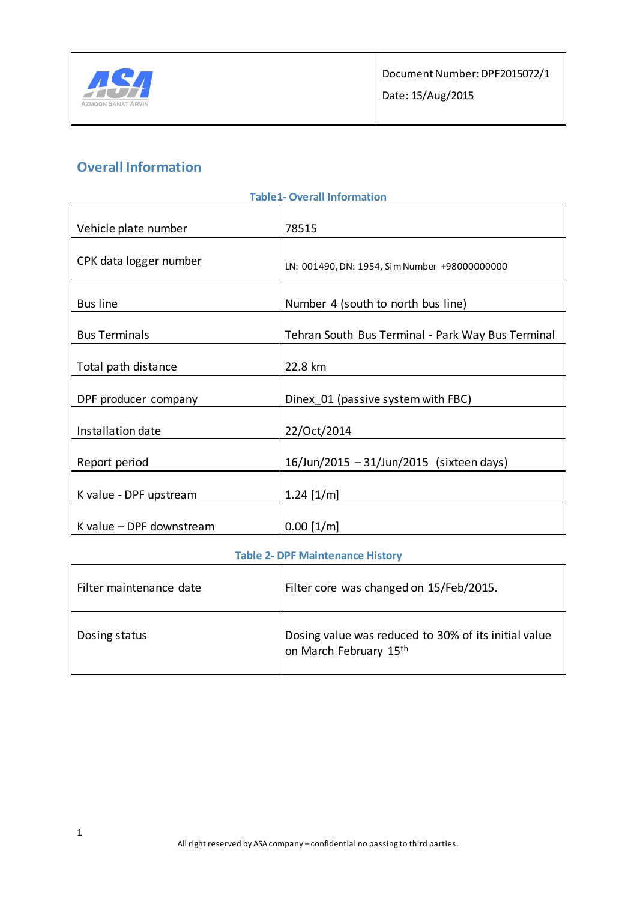

# **Overall Information**

| <b>Table1-Overall Information</b> |                                                   |  |
|-----------------------------------|---------------------------------------------------|--|
| Vehicle plate number              | 78515                                             |  |
| CPK data logger number            | LN: 001490, DN: 1954, Sim Number +98000000000     |  |
| <b>Bus line</b>                   | Number 4 (south to north bus line)                |  |
| <b>Bus Terminals</b>              | Tehran South Bus Terminal - Park Way Bus Terminal |  |
| Total path distance               | 22.8 km                                           |  |
| DPF producer company              | Dinex 01 (passive system with FBC)                |  |
| Installation date                 | 22/Oct/2014                                       |  |
| Report period                     | 16/Jun/2015 - 31/Jun/2015 (sixteen days)          |  |
| K value - DPF upstream            | $1.24$ [1/m]                                      |  |
| K value - DPF downstream          | $0.00$ [1/m]                                      |  |

#### **Table 2- DPF Maintenance History**

| Filter maintenance date | Filter core was changed on 15/Feb/2015.                                        |
|-------------------------|--------------------------------------------------------------------------------|
| Dosing status           | Dosing value was reduced to 30% of its initial value<br>on March February 15th |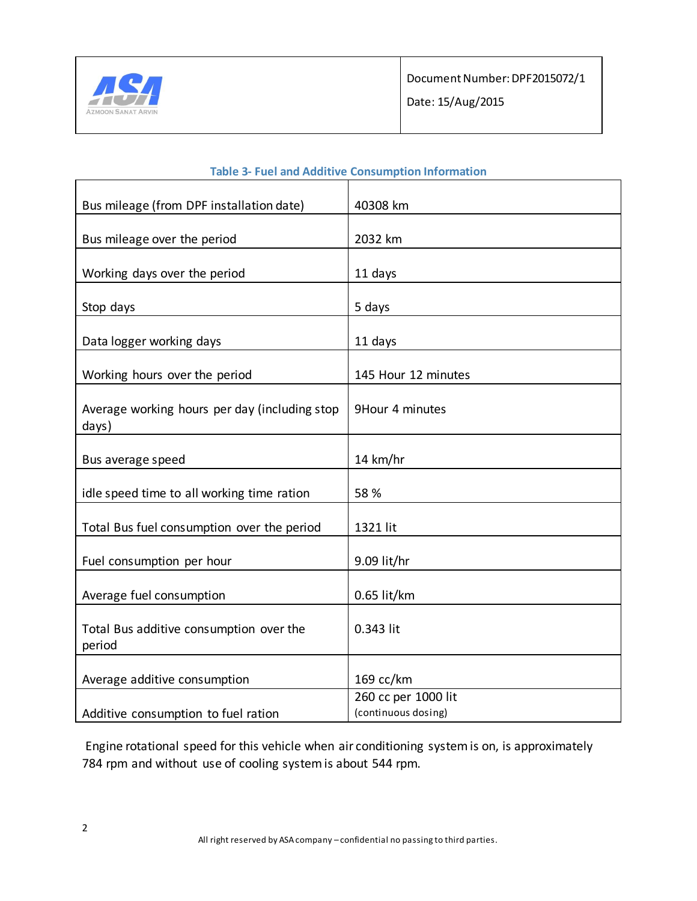

| Bus mileage (from DPF installation date)               | 40308 km            |
|--------------------------------------------------------|---------------------|
| Bus mileage over the period                            | 2032 km             |
|                                                        |                     |
| Working days over the period                           | 11 days             |
| Stop days                                              | 5 days              |
|                                                        |                     |
| Data logger working days                               | 11 days             |
|                                                        |                     |
| Working hours over the period                          | 145 Hour 12 minutes |
|                                                        |                     |
| Average working hours per day (including stop<br>days) | 9Hour 4 minutes     |
|                                                        |                     |
| Bus average speed                                      | 14 km/hr            |
|                                                        |                     |
| idle speed time to all working time ration             | 58 %                |
|                                                        |                     |
| Total Bus fuel consumption over the period             | 1321 lit            |
|                                                        |                     |
| Fuel consumption per hour                              | 9.09 lit/hr         |
|                                                        |                     |
| Average fuel consumption                               | $0.65$ lit/km       |
|                                                        |                     |
| Total Bus additive consumption over the                | 0.343 lit           |
| period                                                 |                     |
|                                                        |                     |
| Average additive consumption                           | 169 cc/km           |
|                                                        | 260 cc per 1000 lit |
| Additive consumption to fuel ration                    | (continuous dosing) |

#### **Table 3- Fuel and Additive Consumption Information**

Engine rotational speed for this vehicle when air conditioning system is on, is approximately 784 rpm and without use of cooling system is about 544 rpm.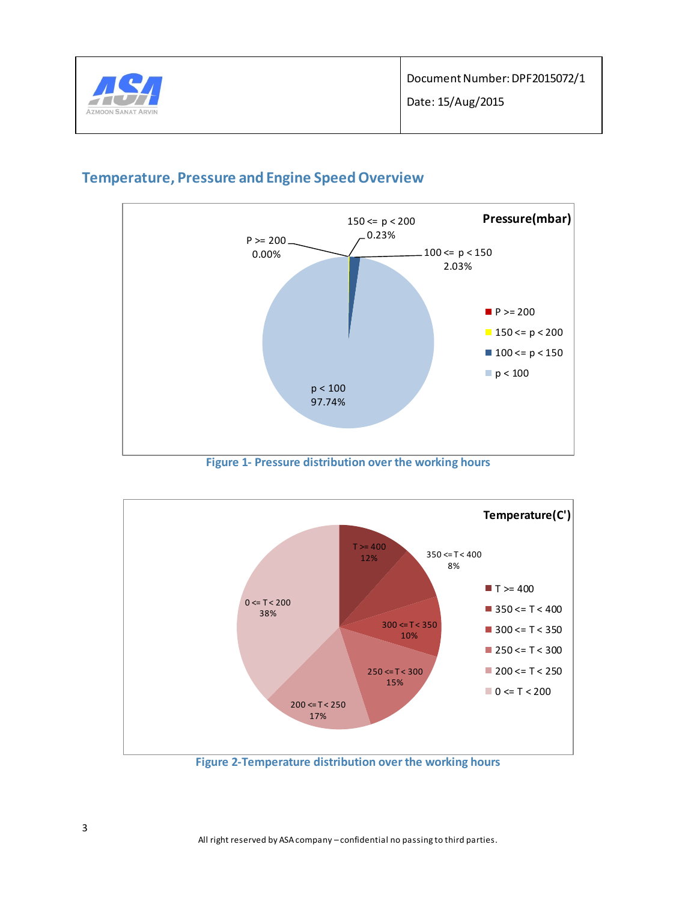

### **Temperature, Pressure and Engine Speed Overview**



**Figure 1- Pressure distribution over the working hours**

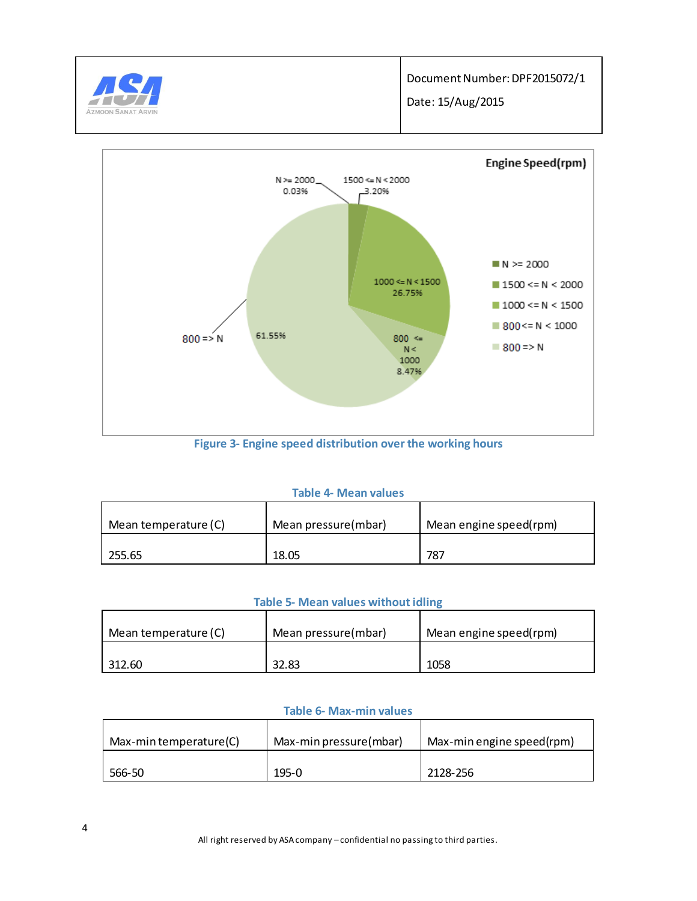



**Figure 3- Engine speed distribution over the working hours**

#### **Table 4- Mean values**

| Mean temperature (C) | Mean pressure(mbar) | Mean engine speed(rpm) |
|----------------------|---------------------|------------------------|
| 255.65               | 18.05               | 787                    |

#### **Table 5- Mean values without idling**

| Mean temperature (C) | Mean pressure(mbar) | Mean engine speed(rpm) |
|----------------------|---------------------|------------------------|
| 312.60               | 32.83               | 1058                   |

#### **Table 6- Max-min values**

| Max-min temperature(C) | Max-min pressure(mbar) | Max-min engine speed(rpm) |
|------------------------|------------------------|---------------------------|
| 566-50                 | $195-0$                | 2128-256                  |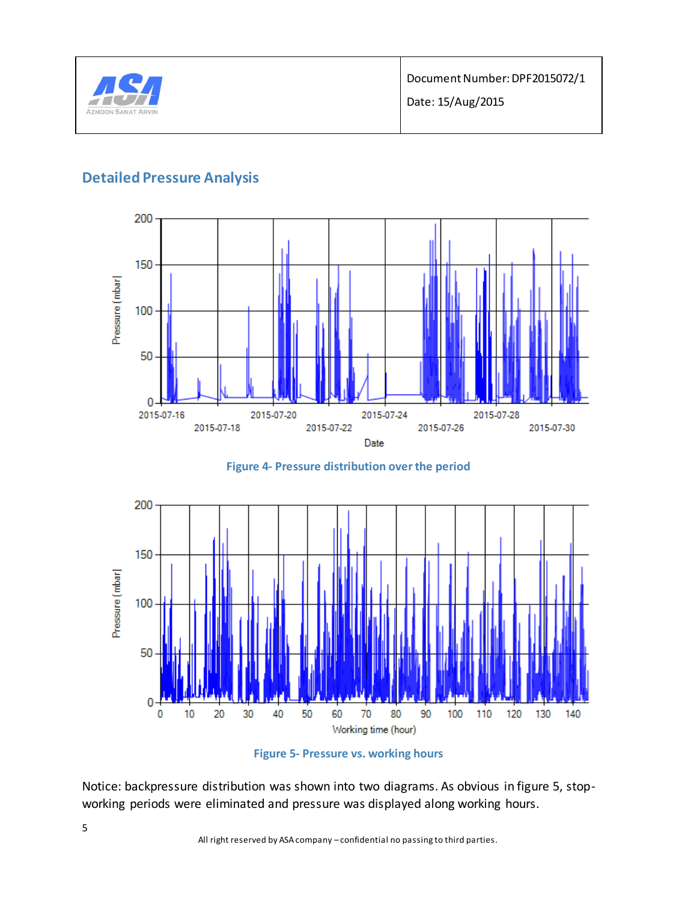

### **Detailed Pressure Analysis**







**Figure 5- Pressure vs. working hours**

Notice: backpressure distribution was shown into two diagrams. As obvious in figure 5, stopworking periods were eliminated and pressure was displayed along working hours.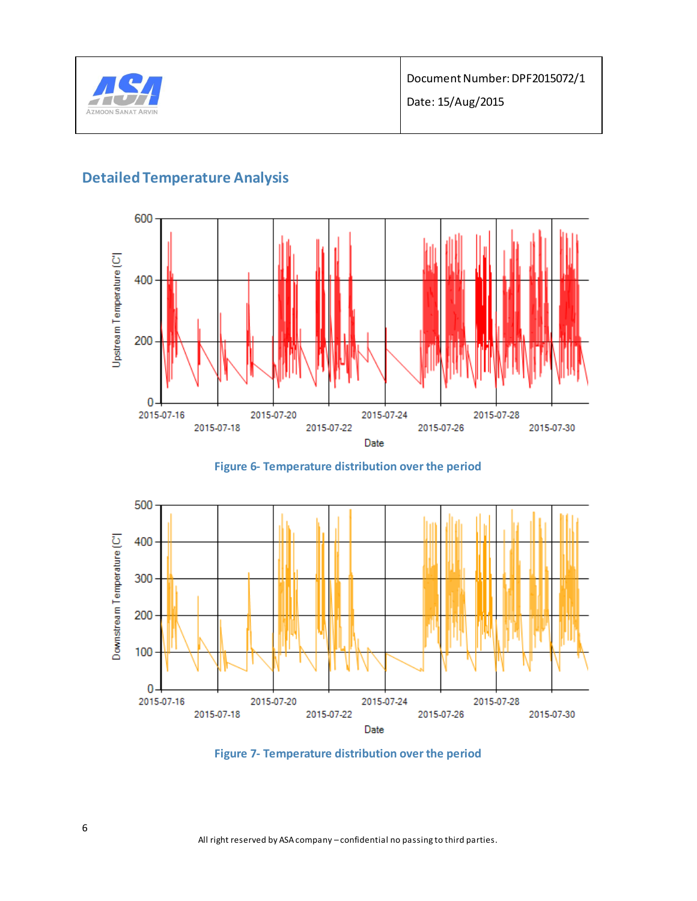

## **Detailed Temperature Analysis**



**Figure 6- Temperature distribution over the period**



**Figure 7- Temperature distribution over the period**

All right reserved by ASA company – confidential no passing to third parties.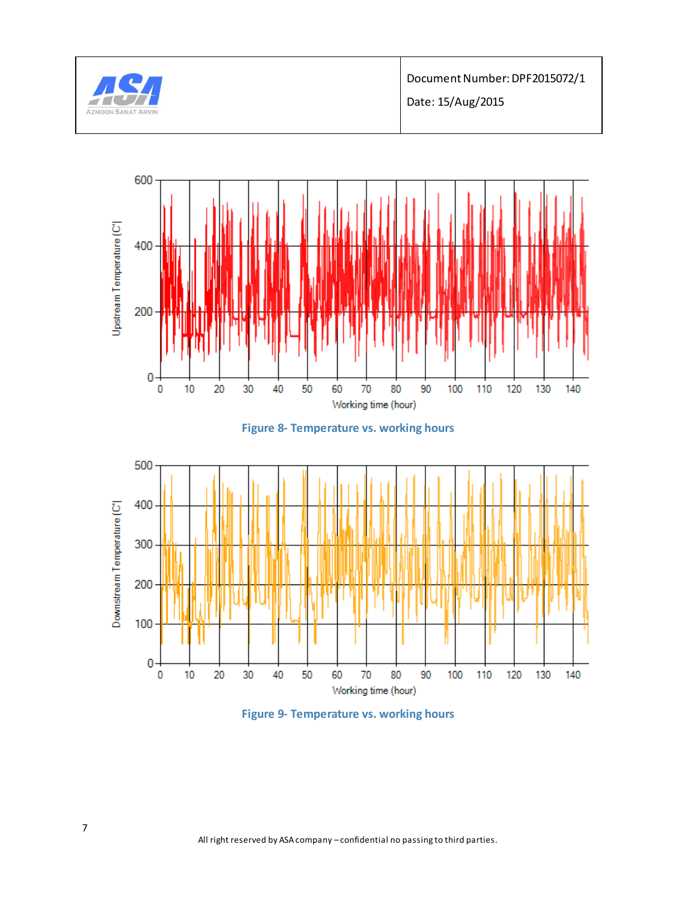

Document Number: DPF2015072/1 Date: 15/Aug/2015

Upstream Temperature (C'  $\pmb{0}$ Working time (hour)





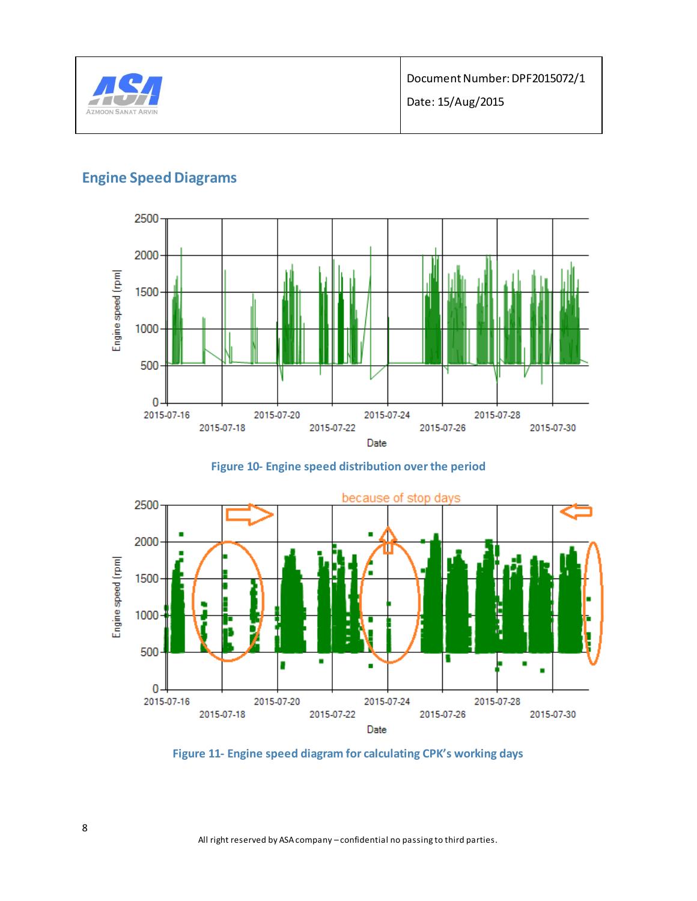

# **Engine Speed Diagrams**



**Figure 10- Engine speed distribution over the period**



**Figure 11- Engine speed diagram for calculating CPK's working days**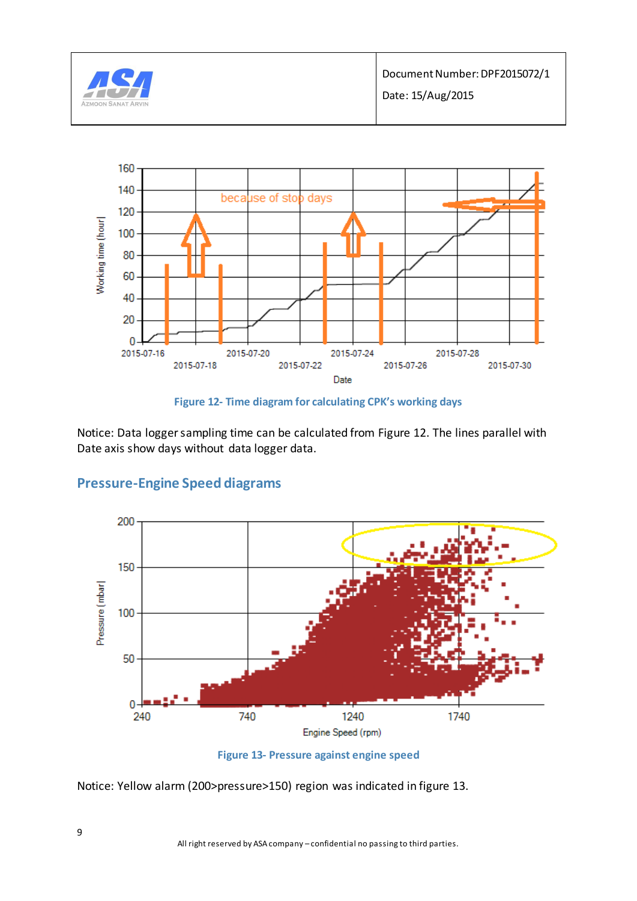



**Figure 12- Time diagram for calculating CPK's working days**

Notice: Data logger sampling time can be calculated from Figure 12. The lines parallel with Date axis show days without data logger data.



# **Pressure-Engine Speed diagrams**

**Figure 13- Pressure against engine speed**

Notice: Yellow alarm (200>pressure>150) region was indicated in figure 13.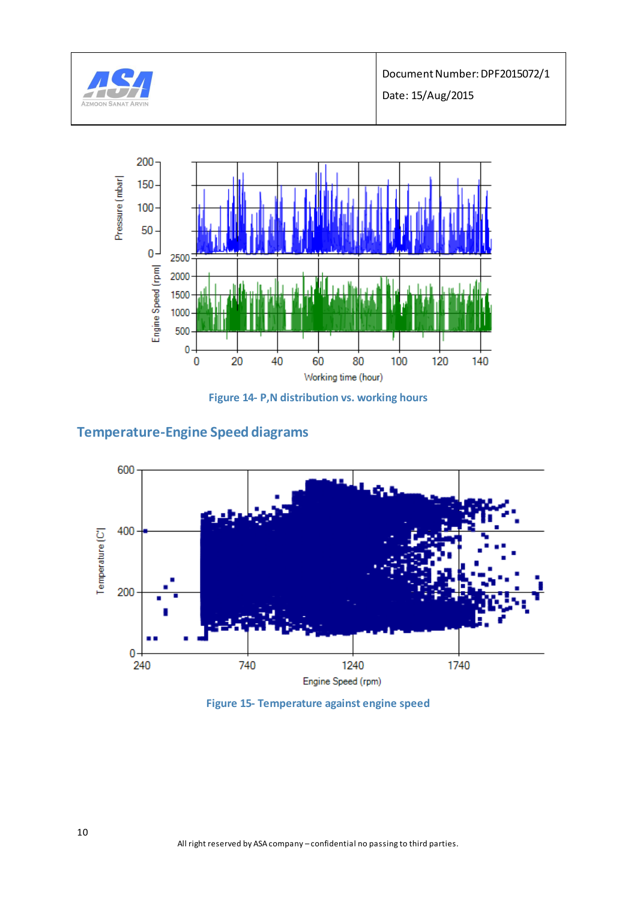



**Figure 14- P,N distribution vs. working hours**

## **Temperature-Engine Speed diagrams**



**Figure 15- Temperature against engine speed**